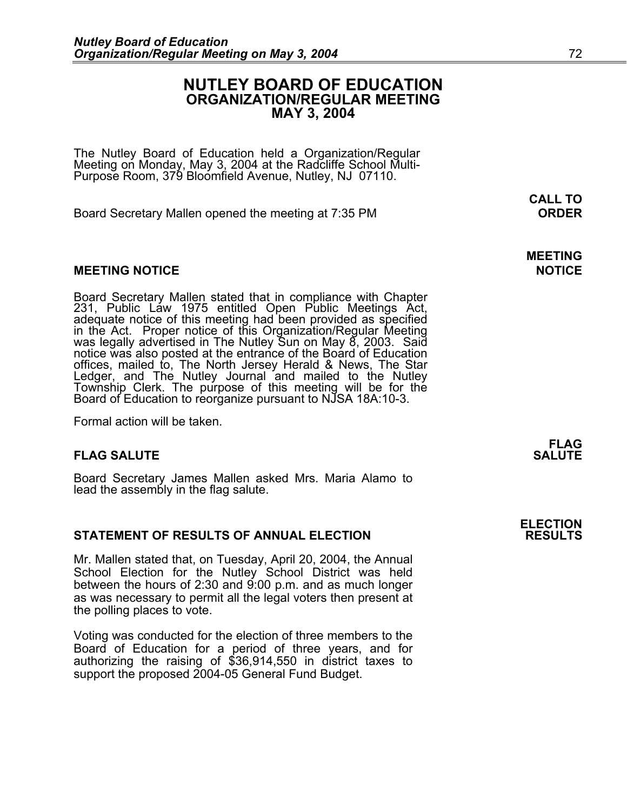#### **NUTLEY BOARD OF EDUCATION ORGANIZATION/REGULAR MEETING MAY 3, 2004**

**MEETING** 

The Nutley Board of Education held a Organization/Regular Meeting on Monday, May 3, 2004 at the Radcliffe School Multi-Purpose Room, 379 Bloomfield Avenue, Nutley, NJ 07110.

Board Secretary Mallen opened the meeting at 7:35 PM **ORDER**

#### **MEETING NOTICE NOTICE**

Board Secretary Mallen stated that in compliance with Chapter 231, Public Law 1975 entitled Open Public Meetings Act, adequate notice of this meeting had been provided as specified in the Act. Proper notice of this Organization/Regular Meeting was legally advertised in The Nutley Sun offices, mailed to, The North Jersey Herald & News, The Star<br>Ledger, and The Nutley Journal and mailed to the Nutley Ledger, and The Nutley Journal and mailed to the Nutley<br>Township Clerk. The purpose of this meeting will be for the Board of Education to reorganize pursuant to NJSA 18A:10-3.

Formal action will be taken.

#### **FLAG SALUTE** SALUTE

Board Secretary James Mallen asked Mrs. Maria Alamo to lead the assembly in the flag salute.

#### **STATEMENT OF RESULTS OF ANNUAL ELECTION**

Mr. Mallen stated that, on Tuesday, April 20, 2004, the Annual School Election for the Nutley School District was held between the hours of 2:30 and 9:00 p.m. and as much longer as was necessary to permit all the legal voters then present at the polling places to vote.

Voting was conducted for the election of three members to the Board of Education for a period of three years, and for authorizing the raising of \$36,914,550 in district taxes to support the proposed 2004-05 General Fund Budget.

**FLAG** 

**ELECTION**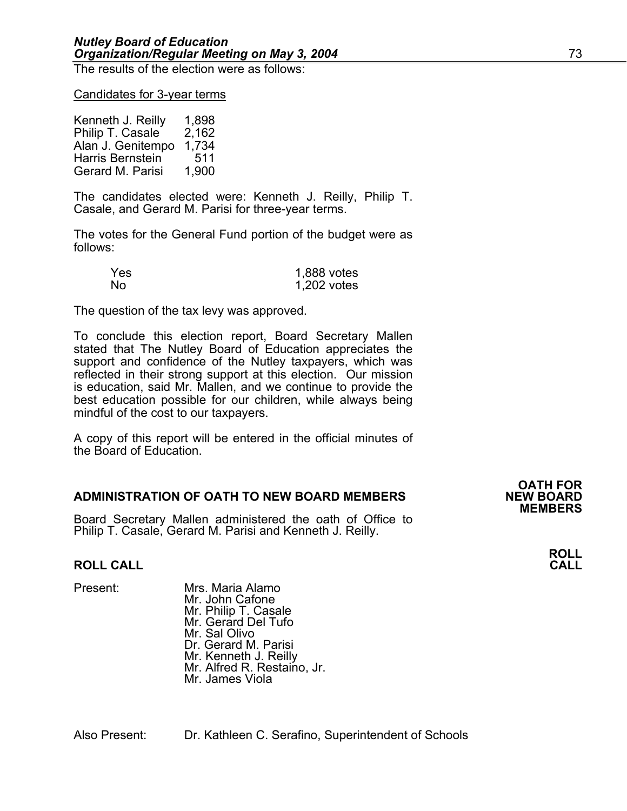The results of the election were as follows:

#### Candidates for 3-year terms

Kenneth J. Reilly 1,898 Philip T. Casale 2,162 Alan J. Genitempo 1,734 Harris Bernstein 511 Gerard M. Parisi 1,900

The candidates elected were: Kenneth J. Reilly, Philip T. Casale, and Gerard M. Parisi for three-year terms.

The votes for the General Fund portion of the budget were as follows:

| Yes. | 1,888 votes |
|------|-------------|
| No   | 1,202 votes |

The question of the tax levy was approved.

To conclude this election report, Board Secretary Mallen stated that The Nutley Board of Education appreciates the support and confidence of the Nutley taxpayers, which was reflected in their strong support at this election. Our mission is education, said Mr. Mallen, and we continue to provide the best education possible for our children, while always being mindful of the cost to our taxpayers.

A copy of this report will be entered in the official minutes of the Board of Education.

#### **ADMINISTRATION OF OATH TO NEW BOARD MEMBERS**

Board Secretary Mallen administered the oath of Office to Philip T. Casale, Gerard M. Parisi and Kenneth J. Reilly.

#### **ROLL CALL CALL**

Present: Mrs. Maria Alamo Mr. John Cafone<br>Mr. Philip T. Casale Mr. Philip T. Casale<br>Mr. Gerard Del Tufo **Mr. Sal Olivo** Dr. Gerard M. Parisi<br>Mr. Kenneth J. Reilly Mr. Alfred R. Restaino, Jr. Mr. James Viola

Also Present: Dr. Kathleen C. Serafino, Superintendent of Schools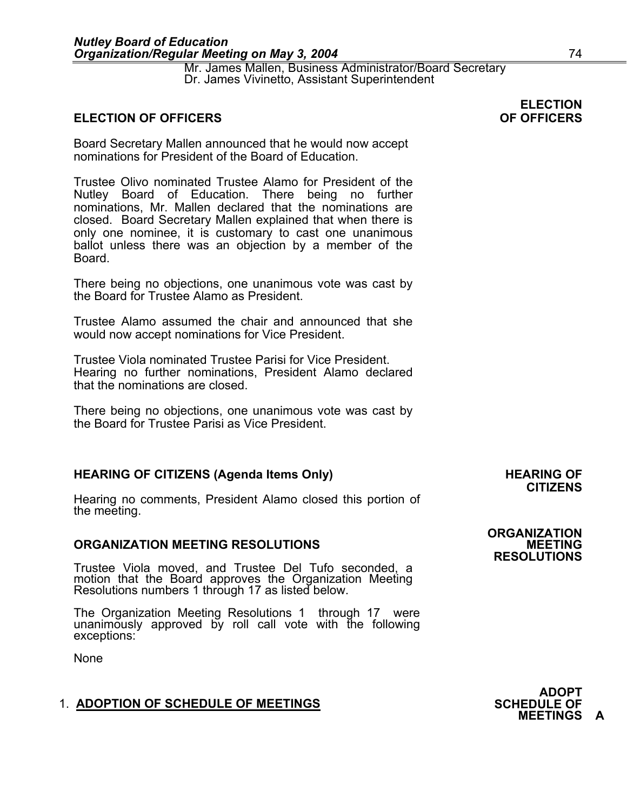Mr. James Mallen, Business Administrator/Board Secretary Dr. James Vivinetto, Assistant Superintendent

#### **ELECTION OF OFFICERS**

Board Secretary Mallen announced that he would now accept nominations for President of the Board of Education.

Trustee Olivo nominated Trustee Alamo for President of the Nutley Board of Education. There being no further nominations, Mr. Mallen declared that the nominations are closed. Board Secretary Mallen explained that when there is only one nominee, it is customary to cast one unanimous ballot unless there was an objection by a member of the Board.

There being no objections, one unanimous vote was cast by the Board for Trustee Alamo as President.

Trustee Alamo assumed the chair and announced that she would now accept nominations for Vice President.

Trustee Viola nominated Trustee Parisi for Vice President. Hearing no further nominations, President Alamo declared that the nominations are closed.

There being no objections, one unanimous vote was cast by the Board for Trustee Parisi as Vice President.

#### HEARING OF CITIZENS (Agenda Items Only) **HEARING OF SALL ASSESS**

Hearing no comments, President Alamo closed this portion of the meeting. **ORGANIZATION** 

#### **ORGANIZATION MEETING RESOLUTIONS MEETING**

Trustee Viola moved, and Trustee Del Tufo seconded, a motion that the Board approves the Organization Meeting Resolutions numbers 1 through 17 as listed below.

The Organization Meeting Resolutions 1 through 17 were unanimously approved by roll call vote with the following exceptions:

None

#### **1. ADOPTION OF SCHEDULE OF MEETINGS**

**ADOPT<br>SCHEDULE OF MEETINGS A** 

## **CITIZENS**

**RESOLUTIONS** 

**ELECTION<br>OF OFFICERS**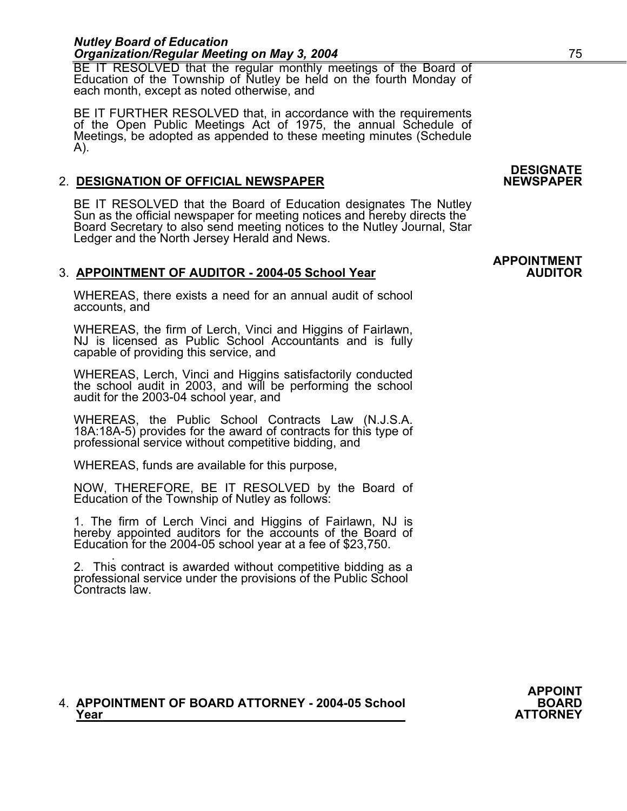BE IT RESOLVED that the regular monthly meetings of the Board of Education of the Township of Nutley be held on the fourth Monday of each month, except as noted otherwise, and

BE IT FURTHER RESOLVED that, in accordance with the requirements of the Open Public Meetings Act of 1975, the annual Schedule of Meetings, be adopted as appended to these meeting minutes (Schedule A).

#### 2. **DESIGNATION OF OFFICIAL NEWSPAPER**

BE IT RESOLVED that the Board of Education designates The Nutley Sun as the official newspaper for meeting notices and hereby directs the Board Secretary to also send meeting notices to the Nutley Journal, Star Ledger and the North Jersey Herald and News.

#### 3. **APPOINTMENT OF AUDITOR - 2004-05 School Year AUDITOR**

WHEREAS, there exists a need for an annual audit of school accounts, and

WHEREAS, the firm of Lerch, Vinci and Higgins of Fairlawn, NJ is licensed as Public School Accountants and is fully capable of providing this service, and

WHEREAS, Lerch, Vinci and Higgins satisfactorily conducted the school audit in 2003, and will be performing the school audit for the 2003-04 school year, and

WHEREAS, the Public School Contracts Law (N.J.S.A. 18A:18A-5) provides for the award of contracts for this type of professional service without competitive bidding, and

WHEREAS, funds are available for this purpose,

NOW, THEREFORE, BE IT RESOLVED by the Board of Education of the Township of Nutley as follows:

1. The firm of Lerch Vinci and Higgins of Fairlawn, NJ is hereby appointed auditors for the accounts of the Board of Education for the 2004-05 school year at a fee of \$23,750.

 . 2. This contract is awarded without competitive bidding as a professional service under the provisions of the Public School Contracts law.

## 4. **APPOINTMENT OF BOARD ATTORNEY - 2004-05 School BOARD BOARD**<br>ATTORNEY

## **DESIGNATE**

## **APPOINTMENT**

**APPOINT**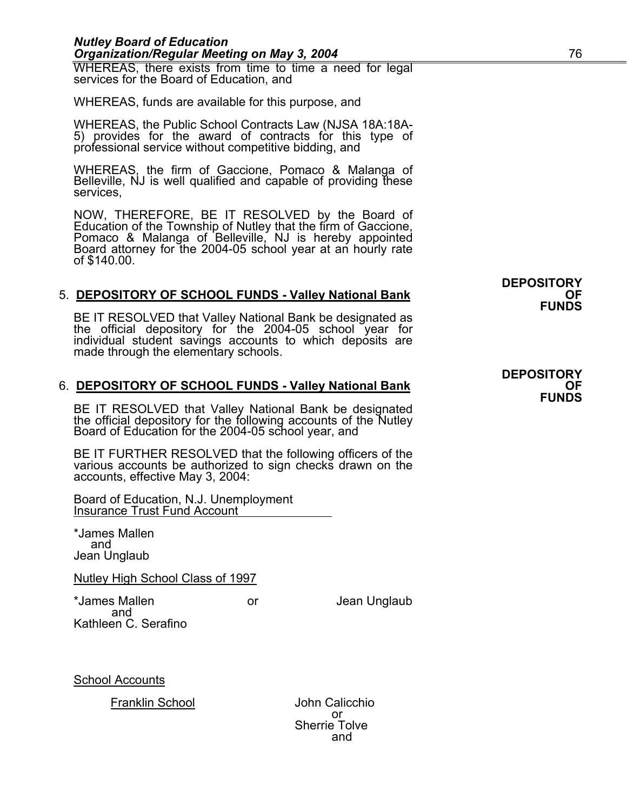WHEREAS, there exists from time to time a need for legal services for the Board of Education, and

WHEREAS, funds are available for this purpose, and

WHEREAS, the Public School Contracts Law (NJSA 18A:18A-5) provides for the award of contracts for this type of professional service without competitive bidding, and

WHEREAS, the firm of Gaccione, Pomaco & Malanga of Belleville, NJ is well qualified and capable of providing these services,

NOW, THEREFORE, BE IT RESOLVED by the Board of Education of the Township of Nutley that the firm of Gaccione,<br>Pomaco & Malanga of Belleville, NJ is hereby appointed<br>Board attorney for the 2004-05 school year at an hourly rate<br>of \$140.00.

# 5. **DEPOSITORY OF SCHOOL FUNDS - Valley National Bank OF SERIT OF SCHOOL FUNDS**<br>**BE IT RESOLVED that Valley National Bank be designated as PUNDS**

the official depository for the 2004-05 school year for individual student savings accounts to which deposits are made through the elementary schools.

# 6. **DEPOSITORY OF SCHOOL FUNDS - Valley National Bank OF CHOOL FUNDS**<br>**BE IT RESOLVED that Valley National Bank be designated**

the official depository for the following accounts of the Nutley Board of Education for the 2004-05 school year, and

BE IT FURTHER RESOLVED that the following officers of the various accounts be authorized to sign checks drawn on the accounts, effective May 3, 2004:

Board of Education, N.J. Unemployment Insurance Trust Fund Account

\*James Mallen and Jean Unglaub

#### Nutley High School Class of 1997

\*James Mallen or Jean Unglaub and Kathleen C. Serafino

School Accounts

Franklin School John Calicchio

 or Sherrie Tolve<br>and and the contract of the contract of the contract of the contract of the contract of the contract of the contract of the contract of the contract of the contract of the contract of the contract of the contract of the contra

**DEPOSITORY** 

**DEPOSITORY**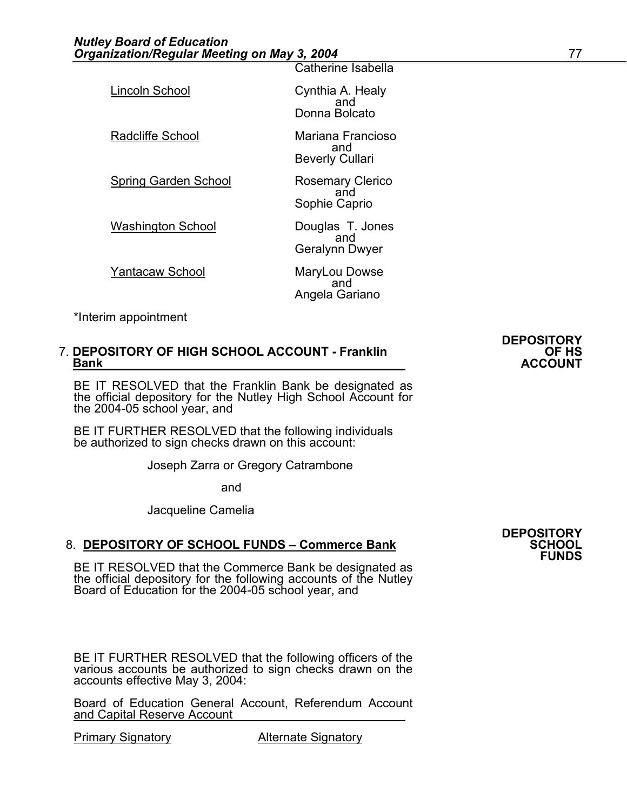| Lincoln School              | Cynthia A. Healy<br>and<br>Donna Bolcato           |
|-----------------------------|----------------------------------------------------|
| <b>Radcliffe School</b>     | Mariana Francioso<br>and<br><b>Beverly Cullari</b> |
| <b>Spring Garden School</b> | <b>Rosemary Clerico</b><br>and<br>Sophie Caprio    |
| <b>Washington School</b>    | Douglas T. Jones<br>and<br>Geralynn Dwyer          |
| <b>Yantacaw School</b>      | MaryLou Dowse<br>and<br>Angela Gariano             |

Catherine Isabella

\*Interim appointment

## 7. **DEPOSITORY OF HIGH SCHOOL ACCOUNT - Franklin OF HS**<br>Bank **ACCOUNT**

BE IT RESOLVED that the Franklin Bank be designated as the official depository for the Nutley High School Account for the 2004-05 school year, and

BE IT FURTHER RESOLVED that the following individuals be authorized to sign checks drawn on this account:

Joseph Zarra or Gregory Catrambone

and

Jacqueline Camelia

#### 8. **DEPOSITORY OF SCHOOL FUNDS - Commerce Bank**

BE IT RESOLVED that the Commerce Bank be designated as the official depository for the following accounts of the Nutley Board of Education for the 2004-05 school year, and

BE IT FURTHER RESOLVED that the following officers of the various accounts be authorized to sign checks drawn on the accounts effective May 3, 2004:

Board of Education General Account, Referendum Account and Capital Reserve Account

Primary Signatory **Alternate Signatory** 

# **DEPOSITORY**

**FUNDS** 

# **DEPOSITORY**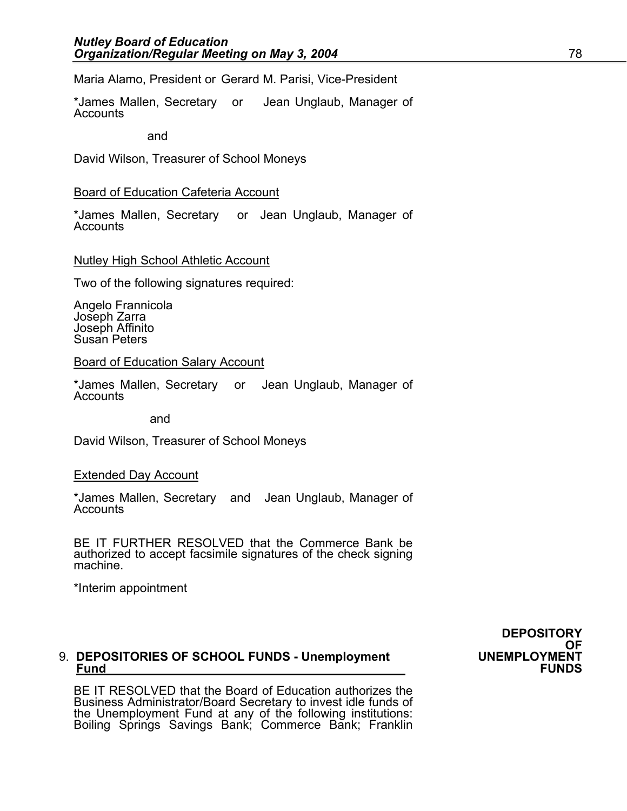Maria Alamo, President or Gerard M. Parisi, Vice-President

\*James Mallen, Secretary or Jean Unglaub, Manager of Accounts

and

David Wilson, Treasurer of School Moneys

#### Board of Education Cafeteria Account

\*James Mallen, Secretary or Jean Unglaub, Manager of<br>Accounts

#### Nutley High School Athletic Account

Two of the following signatures required:

Angelo Frannicola Joseph Zarra Joseph Affinito Susan Peters

#### Board of Education Salary Account

\*James Mallen, Secretary or Jean Unglaub, Manager of Accounts

and

David Wilson, Treasurer of School Moneys

#### Extended Day Account

\*James Mallen, Secretary and Jean Unglaub, Manager of Accounts

BE IT FURTHER RESOLVED that the Commerce Bank be authorized to accept facsimile signatures of the check signing machine.

\*Interim appointment

## 9. **DEPOSITORIES OF SCHOOL FUNDS - Unemployment UNEMPLOYMENT Fund FUNDS**

BE IT RESOLVED that the Board of Education authorizes the Business Administrator/Board Secretary to invest idle funds of the Unemployment Fund at any of the following institutions: Boiling Springs Savings Bank; Commerce Bank; Franklin

**DEPOSITORY**  OF<br>UNEMPLOYMENT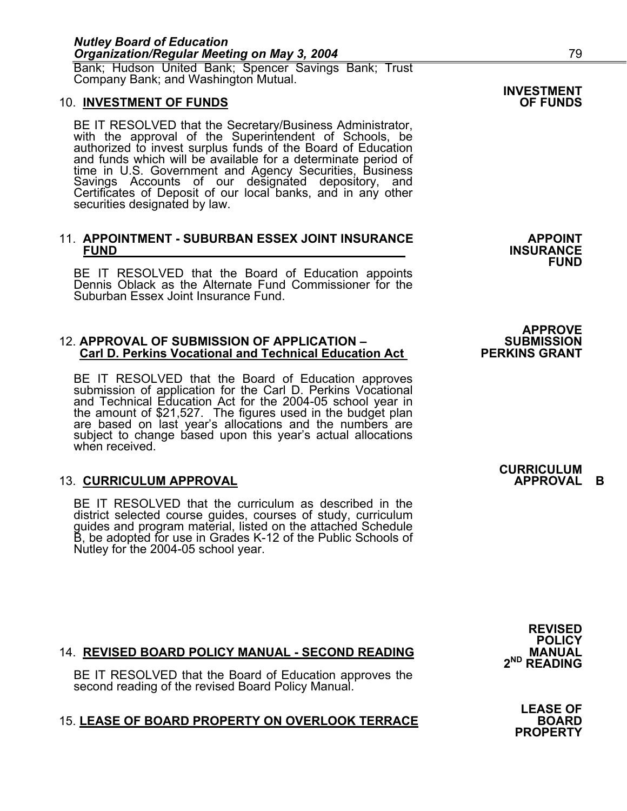Bank; Hudson United Bank; Spencer Savings Bank; Trust Company Bank; and Washington Mutual.

#### **10. INVESTMENT OF FUNDS**

BE IT RESOLVED that the Secretary/Business Administrator, with the approval of the Superintendent of Schools, be authorized to invest surplus funds of the Board of Education and funds which will be available for a determinate period of time in U.S. Government and Agency Securities, Business Savings Accounts of our designated depository, and Certificates of Deposit of our local banks, and in any other securities designated by law.

### 11. **APPOINTMENT - SUBURBAN ESSEX JOINT INSURANCE APPOINT FUND INSURANCE**

BE IT RESOLVED that the Board of Education appoints Dennis Oblack as the Alternate Fund Commissioner for the Suburban Essex Joint Insurance Fund.

## 12. **APPROVAL OF SUBMISSION OF APPLICATION – SUBMISSION Carl D. Perkins Vocational and Technical Education Act PERKINS GRANT**

BE IT RESOLVED that the Board of Education approves submission of application for the Carl D. Perkins Vocational and Technical Education Act for the 2004-05 school year in the amount of \$21,527. The figures used in the budget plan are based on last year's allocations and the numbers are subject to change based upon this year's actual allocations when received.

#### **13. CURRICULUM APPROVAL**

BE IT RESOLVED that the curriculum as described in the district selected course guides, courses of study, curriculum guides and program material, listed on the attached Schedule B, be adopted for use in Grades K-12 of the Public Schools of Nutley for the 2004-05 school year.

**FUND** 

**INVESTMENT** 

**APPROVE** 

### **CURRICULUM**

#### 14. **REVISED BOARD POLICY MANUAL - SECOND READING**

BE IT RESOLVED that the Board of Education approves the second reading of the revised Board Policy Manual.

#### 15. **LEASE OF BOARD PROPERTY ON OVERLOOK TERRACE BOARD**

**POLICY 2ND READING**

**REVISED** 

**LEASE OF PROPERTY**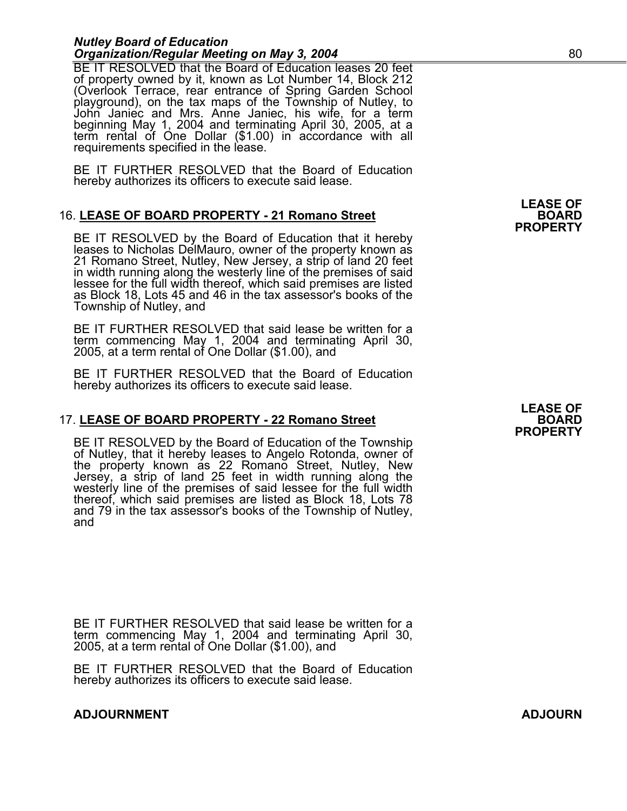BE IT RESOLVED that the Board of Education leases 20 feet of property owned by it, known as Lot Number 14, Block 212 (Overlook Terrace, rear entrance of Spring Garden School<br>playground), on the tax maps of the Township of Nutley, to<br>John Janiec and Mrs. Anne Janiec, his wife, for a term beginning May 1, 2004 and terminating April 30, 2005, at a<br>term rental of One Dollar (\$1.00) in accordance with all<br>requirements specified in the lease.

BE IT FURTHER RESOLVED that the Board of Education hereby authorizes its officers to execute said lease.

#### 16. LEASE OF BOARD PROPERTY - 21 Romano Street

BE IT RESOLVED by the Board of Education that it hereby<br>leases to Nicholas DelMauro, owner of the property known as<br>21 Romano Street, Nutley, New Jersey, a strip of land 20 feet<br>in width running along the westerly line of lessee for the full width thereof, which said premises are listed as Block 18, Lots 45 and 46 in the tax assessor's books of the Township of Nutley, and

BE IT FURTHER RESOLVED that said lease be written for a term commencing May 1, 2004 and terminating April 30, 2005, at a term rental of One Dollar (\$1.00), and

BE IT FURTHER RESOLVED that the Board of Education hereby authorizes its officers to execute said lease.

#### 17. LEASE OF BOARD PROPERTY - 22 Romano Street

BE IT RESOLVED by the Board of Education of the Township<br>of Nutley, that it hereby leases to Angelo Rotonda, owner of<br>the property known as 22 Romano Street, Nutley, New<br>Jersey, a strip of land 25 feet in width running alo thereof, which said premises are listed as Block 18, Lots 78 and 79 in the tax assessor's books of the Township of Nutley, and

BE IT FURTHER RESOLVED that said lease be written for a term commencing May 1, 2004 and terminating April 30, 2005, at a term rental of One Dollar (\$1.00), and

BE IT FURTHER RESOLVED that the Board of Education hereby authorizes its officers to execute said lease.

#### **ADJOURNMENT ADJOURN**

**LEASE OF PROPERTY**